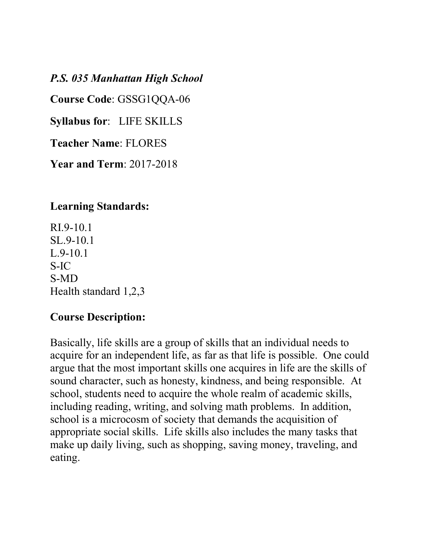*P.S. 035 Manhattan High School* 

**Course Code**: GSSG1QQA-06

**Syllabus for**: LIFE SKILLS

**Teacher Name**: FLORES

**Year and Term**: 2017-2018

#### **Learning Standards:**

RI.9-10.1 SL.9-10.1 L.9-10.1 S-IC S-MD Health standard 1,2,3

#### **Course Description:**

Basically, life skills are a group of skills that an individual needs to acquire for an independent life, as far as that life is possible. One could argue that the most important skills one acquires in life are the skills of sound character, such as honesty, kindness, and being responsible. At school, students need to acquire the whole realm of academic skills, including reading, writing, and solving math problems. In addition, school is a microcosm of society that demands the acquisition of appropriate social skills. Life skills also includes the many tasks that make up daily living, such as shopping, saving money, traveling, and eating.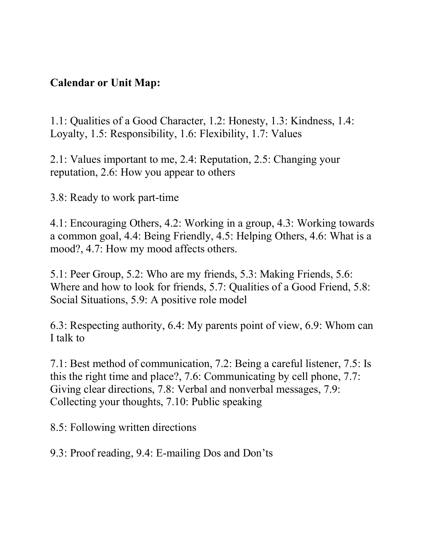### **Calendar or Unit Map:**

1.1: Qualities of a Good Character, 1.2: Honesty, 1.3: Kindness, 1.4: Loyalty, 1.5: Responsibility, 1.6: Flexibility, 1.7: Values

2.1: Values important to me, 2.4: Reputation, 2.5: Changing your reputation, 2.6: How you appear to others

3.8: Ready to work part-time

4.1: Encouraging Others, 4.2: Working in a group, 4.3: Working towards a common goal, 4.4: Being Friendly, 4.5: Helping Others, 4.6: What is a mood?, 4.7: How my mood affects others.

5.1: Peer Group, 5.2: Who are my friends, 5.3: Making Friends, 5.6: Where and how to look for friends, 5.7: Qualities of a Good Friend, 5.8: Social Situations, 5.9: A positive role model

6.3: Respecting authority, 6.4: My parents point of view, 6.9: Whom can I talk to

7.1: Best method of communication, 7.2: Being a careful listener, 7.5: Is this the right time and place?, 7.6: Communicating by cell phone, 7.7: Giving clear directions, 7.8: Verbal and nonverbal messages, 7.9: Collecting your thoughts, 7.10: Public speaking

8.5: Following written directions

9.3: Proof reading, 9.4: E-mailing Dos and Don'ts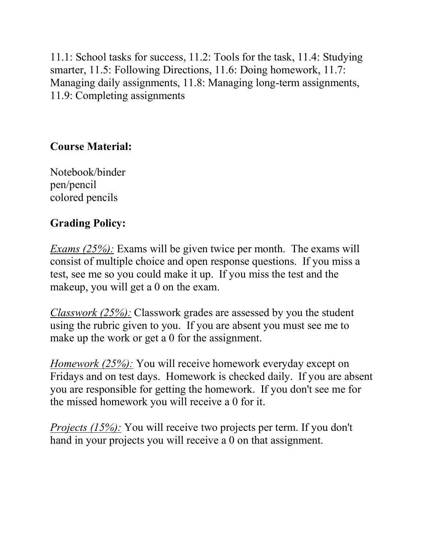11.1: School tasks for success, 11.2: Tools for the task, 11.4: Studying smarter, 11.5: Following Directions, 11.6: Doing homework, 11.7: Managing daily assignments, 11.8: Managing long-term assignments, 11.9: Completing assignments

# **Course Material:**

Notebook/binder pen/pencil colored pencils

# **Grading Policy:**

*Exams (25%):* Exams will be given twice per month. The exams will consist of multiple choice and open response questions. If you miss a test, see me so you could make it up. If you miss the test and the makeup, you will get a 0 on the exam.

*Classwork (25%):* Classwork grades are assessed by you the student using the rubric given to you. If you are absent you must see me to make up the work or get a 0 for the assignment.

*Homework (25%):* You will receive homework everyday except on Fridays and on test days. Homework is checked daily. If you are absent you are responsible for getting the homework. If you don't see me for the missed homework you will receive a 0 for it.

*Projects (15%):* You will receive two projects per term. If you don't hand in your projects you will receive a 0 on that assignment.